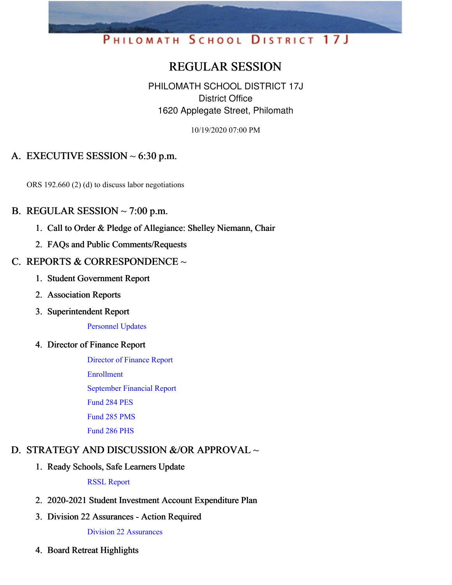# PHILOMATH SCHOOL DISTRICT 17J

## REGULAR SESSION

PHILOMATH SCHOOL DISTRICT 17J District Office 1620 Applegate Street, Philomath

10/19/2020 07:00 PM

## A. EXECUTIVE SESSION  $\sim$  6:30 p.m.

ORS 192.660 (2) (d) to discuss labor negotiations

#### B. REGULAR SESSION  $\sim$  7:00 p.m.

- 1. Call to Order & Pledge of Allegiance: Shelley Niemann, Chair
- 2. FAQs and Public Comments/Requests

#### C. REPORTS & CORRESPONDENCE  $\sim$

- 1. Student Government Report
- 2. Association Reports
- 3. Superintendent Report

[Personnel](https://app.eduportal.com/documents/view/771642) Updates

4. Director of Finance Report

[Director](https://app.eduportal.com/documents/view/771465) of Finance Report [Enrollment](https://app.eduportal.com/documents/view/771472) [September](https://app.eduportal.com/documents/view/771470) Financial Report [Fund](https://app.eduportal.com/documents/view/771468) 284 PES [Fund](https://app.eduportal.com/documents/view/771466) 285 PMS [Fund](https://app.eduportal.com/documents/view/771467) 286 PHS

## D. STRATEGY AND DISCUSSION &/OR APPROVAL ~

1. Ready Schools, Safe Learners Update

RSSL [Report](https://app.eduportal.com/documents/view/771578)

- 2. 2020-2021 Student Investment Account Expenditure Plan
- 3. Division 22 Assurances Action Required

Division 22 [Assurances](https://app.eduportal.com/documents/view/771543)

4. Board Retreat Highlights